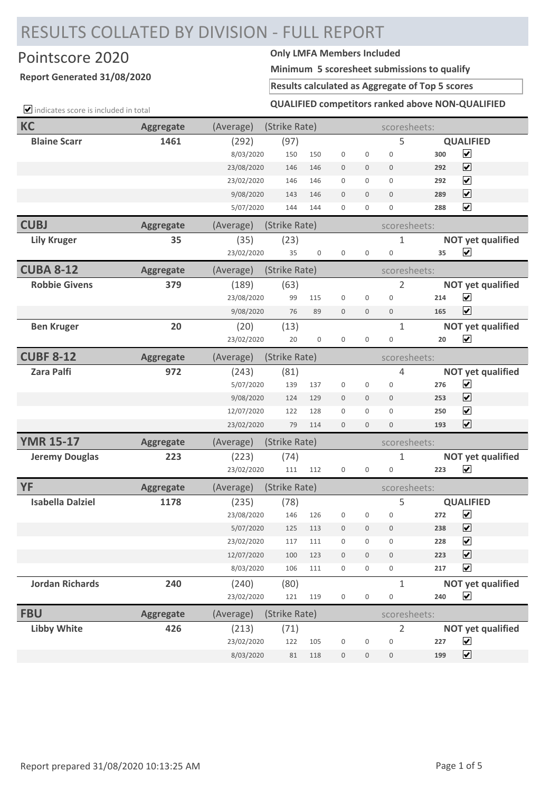## RESULTS COLLATED BY DIVISION - FULL REPORT

## Pointscore 2020 **Only LMFA Members Included**

## **Report Generated 31/08/2020**

**Minimum 5 scoresheet submissions to qualify**

**Results calculated as Aggregate of Top 5 scores**

 $\Box$  indicates score is included in total

| <b>KC</b>               | <b>Aggregate</b> | (Average)  | (Strike Rate) |                  |                  |              | scoresheets:        |     |                          |
|-------------------------|------------------|------------|---------------|------------------|------------------|--------------|---------------------|-----|--------------------------|
| <b>Blaine Scarr</b>     | 1461             | (292)      | (97)          |                  |                  |              | 5                   |     | <b>QUALIFIED</b>         |
|                         |                  | 8/03/2020  | 150           | 150              | $\mathbf 0$      | 0            | $\mathbf 0$         | 300 | $\blacktriangledown$     |
|                         |                  | 23/08/2020 | 146           | 146              | $\mathbf{0}$     | $\mathbf{0}$ | $\mathbf{0}$        | 292 | $\overline{\mathbf{v}}$  |
|                         |                  | 23/02/2020 | 146           | 146              | $\mathbf 0$      | 0            | 0                   | 292 | $\overline{\mathbf{v}}$  |
|                         |                  | 9/08/2020  | 143           | 146              | $\overline{0}$   | $\mathbf{0}$ | $\mathbf{0}$        | 289 | $\overline{\mathbf{v}}$  |
|                         |                  | 5/07/2020  | 144           | 144              | $\mathbf 0$      | 0            | $\mathbf 0$         | 288 | $\overline{\mathbf{v}}$  |
| <b>CUBJ</b>             | <b>Aggregate</b> | (Average)  | (Strike Rate) |                  |                  |              | scoresheets:        |     |                          |
| <b>Lily Kruger</b>      | 35               | (35)       | (23)          |                  |                  |              | 1                   |     | <b>NOT yet qualified</b> |
|                         |                  | 23/02/2020 | 35            | $\boldsymbol{0}$ | $\mathbf 0$      | 0            | $\mathbf 0$         | 35  | $\overline{\mathbf{v}}$  |
| <b>CUBA 8-12</b>        | <b>Aggregate</b> | (Average)  | (Strike Rate) |                  |                  |              | scoresheets:        |     |                          |
| <b>Robbie Givens</b>    | 379              | (189)      | (63)          |                  |                  |              | 2                   |     | <b>NOT yet qualified</b> |
|                         |                  | 23/08/2020 | 99            | 115              | $\mathbf 0$      | 0            | $\mathbf 0$         | 214 | $\blacktriangledown$     |
|                         |                  | 9/08/2020  | 76            | 89               | $\mathbf{0}$     | 0            | 0                   | 165 | $\overline{\mathbf{v}}$  |
| <b>Ben Kruger</b>       | 20               | (20)       | (13)          |                  |                  |              | $\mathbf 1$         |     | <b>NOT yet qualified</b> |
|                         |                  | 23/02/2020 | 20            | $\boldsymbol{0}$ | $\boldsymbol{0}$ | 0            | 0                   | 20  | $\blacktriangledown$     |
| <b>CUBF 8-12</b>        | <b>Aggregate</b> | (Average)  | (Strike Rate) |                  |                  |              | scoresheets:        |     |                          |
| <b>Zara Palfi</b>       | 972              | (243)      | (81)          |                  |                  |              | 4                   |     | <b>NOT yet qualified</b> |
|                         |                  | 5/07/2020  | 139           | 137              | $\boldsymbol{0}$ | 0            | 0                   | 276 | $\blacktriangledown$     |
|                         |                  | 9/08/2020  | 124           | 129              | $\mathbf{0}$     | $\mathbf{0}$ | $\mathbf{0}$        | 253 | $\overline{\mathbf{v}}$  |
|                         |                  | 12/07/2020 | 122           | 128              | $\mathbf 0$      | 0            | $\mathbf 0$         | 250 | $\overline{\mathbf{v}}$  |
|                         |                  | 23/02/2020 | 79            | 114              | $\mathbf{0}$     | 0            | $\mathbf{0}$        | 193 | $\overline{\mathbf{v}}$  |
| <b>YMR 15-17</b>        | <b>Aggregate</b> | (Average)  | (Strike Rate) |                  |                  |              | scoresheets:        |     |                          |
| <b>Jeremy Douglas</b>   | 223              | (223)      | (74)          |                  |                  |              | 1                   |     | <b>NOT yet qualified</b> |
|                         |                  | 23/02/2020 | 111           | 112              | $\mathbf 0$      | 0            | $\mathbf 0$         | 223 | $\blacktriangledown$     |
| <b>YF</b>               | <b>Aggregate</b> | (Average)  | (Strike Rate) |                  |                  |              | scoresheets:        |     |                          |
| <b>Isabella Dalziel</b> | 1178             | (235)      | (78)          |                  |                  |              | 5                   |     | <b>QUALIFIED</b>         |
|                         |                  | 23/08/2020 | 146           | 126              | $\mathbf{0}$     | 0            | $\mathbf 0$         | 272 | $\blacktriangledown$     |
|                         |                  | 5/07/2020  | 125           | 113              | $\overline{0}$   | 0            | $\mathbf 0$         | 238 | $\blacktriangledown$     |
|                         |                  | 23/02/2020 | 117           | 111              | $\boldsymbol{0}$ | 0            | 0                   | 228 | $\blacktriangledown$     |
|                         |                  | 12/07/2020 | 100           | 123              | $\boldsymbol{0}$ | 0            | 0                   | 223 | $\blacktriangledown$     |
|                         |                  | 8/03/2020  | 106           | 111              | $\mathbf 0$      | 0            | 0                   | 217 | $\blacktriangledown$     |
| <b>Jordan Richards</b>  | 240              | (240)      | (80)          |                  |                  |              | $\mathbf 1$         |     | <b>NOT yet qualified</b> |
|                         |                  | 23/02/2020 | 121           | 119              | $\boldsymbol{0}$ | 0            | $\mathbf 0$         | 240 | $\blacktriangledown$     |
| <b>FBU</b>              | <b>Aggregate</b> | (Average)  | (Strike Rate) |                  |                  |              | scoresheets:        |     |                          |
| <b>Libby White</b>      | 426              | (213)      | (71)          |                  |                  |              | $\overline{2}$      |     | <b>NOT yet qualified</b> |
|                         |                  | 23/02/2020 | 122           | 105              | $\mathbf 0$      | 0            | $\mathbf 0$         | 227 | $\blacktriangledown$     |
|                         |                  | 8/03/2020  | 81            | 118              | $\mathbf 0$      | 0            | $\mathsf{O}\xspace$ | 199 | $\blacktriangledown$     |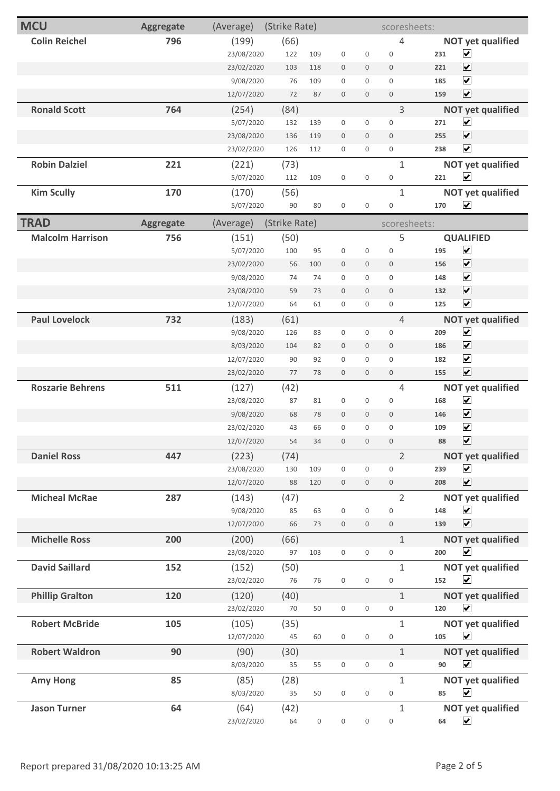| <b>MCU</b>              | <b>Aggregate</b> | (Average)  | (Strike Rate) |                     |                     |                     | scoresheets:        |     |                          |
|-------------------------|------------------|------------|---------------|---------------------|---------------------|---------------------|---------------------|-----|--------------------------|
| <b>Colin Reichel</b>    | 796              | (199)      | (66)          |                     |                     |                     | 4                   |     | <b>NOT yet qualified</b> |
|                         |                  | 23/08/2020 | 122           | 109                 | 0                   | 0                   | $\mathbb O$         | 231 | $\blacktriangledown$     |
|                         |                  | 23/02/2020 | 103           | 118                 | $\mathsf{O}\xspace$ | $\mathbf 0$         | $\mathsf{O}\xspace$ | 221 | $\blacktriangledown$     |
|                         |                  | 9/08/2020  | 76            | 109                 | 0                   | 0                   | 0                   | 185 | $\overline{\mathbf{v}}$  |
|                         |                  | 12/07/2020 | 72            | 87                  | $\mathsf{O}\xspace$ | $\mathbf 0$         | $\mathbb O$         | 159 | $\overline{\mathbf{v}}$  |
| <b>Ronald Scott</b>     | 764              | (254)      | (84)          |                     |                     |                     | 3                   |     | <b>NOT yet qualified</b> |
|                         |                  | 5/07/2020  | 132           | 139                 | $\mathsf{O}\xspace$ | 0                   | $\mathsf{O}\xspace$ | 271 | $\blacktriangledown$     |
|                         |                  | 23/08/2020 | 136           | 119                 | $\mathbf 0$         | $\mathbf 0$         | $\mathbf 0$         | 255 | $\blacktriangledown$     |
|                         |                  | 23/02/2020 | 126           | 112                 | $\mathsf{O}\xspace$ | 0                   | 0                   | 238 | $\overline{\mathbf{v}}$  |
| <b>Robin Dalziel</b>    | 221              | (221)      | (73)          |                     |                     |                     | $\mathbf{1}$        |     | <b>NOT yet qualified</b> |
|                         |                  | 5/07/2020  | 112           | 109                 | $\mathsf{O}\xspace$ | $\mathsf{O}\xspace$ | $\mathbb O$         | 221 | $\blacktriangledown$     |
| <b>Kim Scully</b>       | 170              | (170)      | (56)          |                     |                     |                     | $\mathbf{1}$        |     | <b>NOT yet qualified</b> |
|                         |                  | 5/07/2020  | 90            | 80                  | $\mathsf{O}\xspace$ | $\mathsf{O}\xspace$ | 0                   | 170 | $\overline{\mathbf{v}}$  |
| <b>TRAD</b>             | <b>Aggregate</b> | (Average)  | (Strike Rate) |                     |                     |                     | scoresheets:        |     |                          |
| <b>Malcolm Harrison</b> | 756              | (151)      | (50)          |                     |                     |                     | 5                   |     | <b>QUALIFIED</b>         |
|                         |                  | 5/07/2020  | 100           | 95                  | 0                   | 0                   | 0                   | 195 | $\blacktriangledown$     |
|                         |                  | 23/02/2020 | 56            | 100                 | $\mathbf 0$         | $\mathbf 0$         | $\mathsf{O}\xspace$ | 156 | $\blacktriangledown$     |
|                         |                  | 9/08/2020  | 74            | 74                  | 0                   | 0                   | 0                   | 148 | $\blacktriangledown$     |
|                         |                  | 23/08/2020 | 59            | 73                  | $\mathbf 0$         | $\mathbf 0$         | 0                   | 132 | $\overline{\mathbf{v}}$  |
|                         |                  | 12/07/2020 | 64            | 61                  | $\mathsf{O}\xspace$ | 0                   | $\mathsf{O}\xspace$ | 125 | $\blacktriangledown$     |
| <b>Paul Lovelock</b>    | 732              | (183)      | (61)          |                     |                     |                     | $\overline{4}$      |     | <b>NOT yet qualified</b> |
|                         |                  | 9/08/2020  | 126           | 83                  | $\mathsf{O}\xspace$ | 0                   | 0                   | 209 | $\blacktriangledown$     |
|                         |                  | 8/03/2020  | 104           | 82                  | $\boldsymbol{0}$    | 0                   | $\mathbb O$         | 186 | $\blacktriangledown$     |
|                         |                  | 12/07/2020 | 90            | 92                  | $\boldsymbol{0}$    | 0                   | $\mathsf{O}\xspace$ | 182 | $\blacktriangledown$     |
|                         |                  | 23/02/2020 | 77            | 78                  | $\mathbf{0}$        | 0                   | $\mathsf{O}\xspace$ | 155 | $\overline{\mathbf{v}}$  |
| <b>Roszarie Behrens</b> | 511              | (127)      | (42)          |                     |                     |                     | 4                   |     | <b>NOT yet qualified</b> |
|                         |                  | 23/08/2020 | 87            | 81                  | $\mathsf{O}\xspace$ | 0                   | $\mathbb O$         | 168 | $\blacktriangledown$     |
|                         |                  | 9/08/2020  | 68            | 78                  | $\boldsymbol{0}$    | $\mathbf 0$         | $\mathsf{O}\xspace$ | 146 | $\blacktriangledown$     |
|                         |                  | 23/02/2020 | 43            | 66                  | 0                   | 0                   | 0                   | 109 | $\blacktriangledown$     |
|                         |                  | 12/07/2020 | 54            | 34                  | $\mathbf 0$         | $\mathbf 0$         | $\mathbf 0$         | 88  | $\blacktriangledown$     |
| <b>Daniel Ross</b>      | 447              | (223)      | (74)          |                     |                     |                     | $\overline{2}$      |     | <b>NOT yet qualified</b> |
|                         |                  | 23/08/2020 | 130           | 109                 | $\mathsf{O}\xspace$ | 0                   | $\mathbf 0$         | 239 | $\blacktriangledown$     |
|                         |                  | 12/07/2020 | 88            | 120                 | $\boldsymbol{0}$    | 0                   | $\mathsf{O}\xspace$ | 208 | $\overline{\mathbf{v}}$  |
| <b>Micheal McRae</b>    | 287              | (143)      | (47)          |                     |                     |                     | $\overline{2}$      |     | <b>NOT yet qualified</b> |
|                         |                  | 9/08/2020  | 85            | 63                  | $\boldsymbol{0}$    | 0                   | $\mathbb O$         | 148 | $\blacktriangledown$     |
|                         |                  | 12/07/2020 | 66            | 73                  | $\mathsf{O}\xspace$ | 0                   | $\mathbb O$         | 139 | $\blacktriangledown$     |
| <b>Michelle Ross</b>    | 200              | (200)      | (66)          |                     |                     |                     | $\mathbf{1}$        |     | <b>NOT yet qualified</b> |
|                         |                  | 23/08/2020 | 97            | 103                 | $\mathsf{O}\xspace$ | 0                   | 0                   | 200 | $\blacktriangledown$     |
| <b>David Saillard</b>   | 152              | (152)      | (50)          |                     |                     |                     | $\mathbf 1$         |     | <b>NOT yet qualified</b> |
|                         |                  | 23/02/2020 | 76            | 76                  | $\mathsf{O}\xspace$ | 0                   | 0                   | 152 | $\blacktriangledown$     |
| <b>Phillip Gralton</b>  | 120              | (120)      | (40)          |                     |                     |                     | $\mathbf{1}$        |     | <b>NOT yet qualified</b> |
|                         |                  | 23/02/2020 | 70            | 50                  | 0                   | 0                   | 0                   | 120 | $\blacktriangledown$     |
| <b>Robert McBride</b>   | 105              | (105)      | (35)          |                     |                     |                     | $\mathbf 1$         |     | <b>NOT yet qualified</b> |
|                         |                  | 12/07/2020 | 45            | 60                  | $\mathsf{O}\xspace$ | 0                   | 0                   | 105 | $\blacktriangledown$     |
| <b>Robert Waldron</b>   | 90               | (90)       | (30)          |                     |                     |                     | $\mathbf{1}$        |     | <b>NOT yet qualified</b> |
|                         |                  | 8/03/2020  | 35            | 55                  | 0                   | 0                   | 0                   | 90  | $\blacktriangledown$     |
| <b>Amy Hong</b>         | 85               | (85)       | (28)          |                     |                     |                     | $\mathbf{1}$        |     | <b>NOT yet qualified</b> |
|                         |                  | 8/03/2020  | 35            | 50                  | $\mathsf{O}\xspace$ | 0                   | 0                   | 85  | $\blacktriangledown$     |
| <b>Jason Turner</b>     | 64               | (64)       | (42)          |                     |                     |                     | 1                   |     | <b>NOT yet qualified</b> |
|                         |                  | 23/02/2020 | 64            | $\mathsf{O}\xspace$ | $\mathsf{O}\xspace$ | $\mathsf{O}\xspace$ | 0                   | 64  | $\blacktriangledown$     |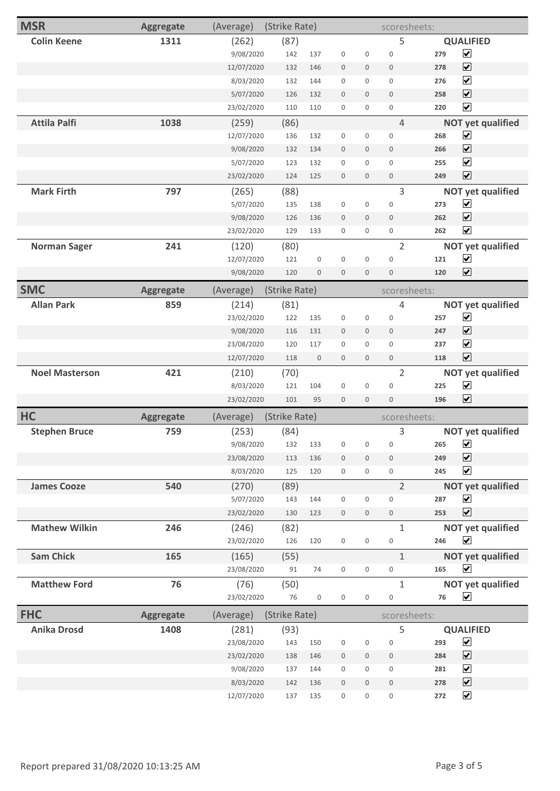| <b>MSR</b>            | <b>Aggregate</b> | (Average)  | (Strike Rate) |                     |                     |                     | scoresheets:        |     |                          |
|-----------------------|------------------|------------|---------------|---------------------|---------------------|---------------------|---------------------|-----|--------------------------|
| <b>Colin Keene</b>    | 1311             | (262)      | (87)          |                     |                     |                     | 5                   |     | <b>QUALIFIED</b>         |
|                       |                  | 9/08/2020  | 142           | 137                 | $\boldsymbol{0}$    | $\mathsf{O}\xspace$ | $\mathsf{O}\xspace$ | 279 | $\blacktriangledown$     |
|                       |                  | 12/07/2020 | 132           | 146                 | $\mathbf 0$         | $\mathbf 0$         | $\mathbf 0$         | 278 | $\blacktriangledown$     |
|                       |                  | 8/03/2020  | 132           | 144                 | $\boldsymbol{0}$    | 0                   | $\mathbf 0$         | 276 | $\blacktriangledown$     |
|                       |                  | 5/07/2020  | 126           | 132                 | $\mathbf 0$         | 0                   | $\mathbf 0$         | 258 | $\overline{\mathbf{v}}$  |
|                       |                  | 23/02/2020 | 110           | 110                 | $\mathbf 0$         | 0                   | $\mathsf{O}\xspace$ | 220 | $\blacktriangledown$     |
| <b>Attila Palfi</b>   | 1038             | (259)      | (86)          |                     |                     |                     | 4                   |     | <b>NOT yet qualified</b> |
|                       |                  | 12/07/2020 | 136           | 132                 | $\mathbf 0$         | 0                   | $\mathsf{O}\xspace$ | 268 | $\overline{\mathbf{v}}$  |
|                       |                  | 9/08/2020  | 132           | 134                 | $\mathbf 0$         | $\mathbf 0$         | $\mathbf 0$         | 266 | $\overline{\mathbf{v}}$  |
|                       |                  | 5/07/2020  | 123           | 132                 | $\mathbf 0$         | 0                   | $\mathsf{O}\xspace$ | 255 | $\blacktriangledown$     |
|                       |                  | 23/02/2020 | 124           | 125                 | $\boldsymbol{0}$    | $\mathsf{O}\xspace$ | $\mathsf{O}\xspace$ | 249 | $\overline{\mathbf{v}}$  |
| <b>Mark Firth</b>     | 797              | (265)      | (88)          |                     |                     |                     | 3                   |     | <b>NOT yet qualified</b> |
|                       |                  | 5/07/2020  | 135           | 138                 | $\boldsymbol{0}$    | $\mathsf{O}\xspace$ | $\mathbf 0$         | 273 | $\blacktriangledown$     |
|                       |                  | 9/08/2020  | 126           | 136                 | $\mathbf 0$         | $\mathsf{O}\xspace$ | $\mathbf 0$         | 262 | $\blacktriangledown$     |
|                       |                  | 23/02/2020 | 129           | 133                 | $\mathbf 0$         | $\mathsf{O}\xspace$ | $\mathsf 0$         | 262 | $\overline{\mathbf{v}}$  |
| <b>Norman Sager</b>   | 241              | (120)      | (80)          |                     |                     |                     | $\overline{2}$      |     | <b>NOT yet qualified</b> |
|                       |                  | 12/07/2020 | 121           | 0                   | $\mathbf 0$         | $\mathsf{O}\xspace$ | $\mathbf 0$         | 121 | $\blacktriangledown$     |
|                       |                  | 9/08/2020  | 120           | 0                   | $\mathbf 0$         | $\mathsf{O}\xspace$ | $\mathbf 0$         | 120 | $\overline{\mathbf{v}}$  |
| <b>SMC</b>            | <b>Aggregate</b> | (Average)  | (Strike Rate) |                     |                     |                     | scoresheets:        |     |                          |
| <b>Allan Park</b>     | 859              | (214)      | (81)          |                     |                     |                     | 4                   |     | <b>NOT yet qualified</b> |
|                       |                  | 23/02/2020 | 122           | 135                 | $\boldsymbol{0}$    | $\mathsf{O}\xspace$ | $\mathsf{O}\xspace$ | 257 | $\blacktriangledown$     |
|                       |                  | 9/08/2020  | 116           | 131                 | $\mathbf 0$         | $\mathbf 0$         | $\mathsf{O}\xspace$ | 247 | $\blacktriangledown$     |
|                       |                  | 23/08/2020 | 120           | 117                 | $\mathbf 0$         | 0                   | $\mathsf{O}\xspace$ | 237 | $\blacktriangledown$     |
|                       |                  | 12/07/2020 | 118           | 0                   | $\mathbf 0$         | $\mathbf 0$         | $\boldsymbol{0}$    | 118 | $\overline{\mathbf{v}}$  |
| <b>Noel Masterson</b> | 421              | (210)      | (70)          |                     |                     |                     | $\overline{2}$      |     | <b>NOT yet qualified</b> |
|                       |                  | 8/03/2020  | 121           | 104                 | $\mathbf 0$         | $\mathbf 0$         | $\mathbf 0$         | 225 | $\blacktriangledown$     |
|                       |                  | 23/02/2020 | 101           | 95                  | $\mathbf 0$         | $\mathsf{O}\xspace$ | $\boldsymbol{0}$    | 196 | $\overline{\mathbf{v}}$  |
| <b>HC</b>             | <b>Aggregate</b> | (Average)  | (Strike Rate) |                     |                     |                     | scoresheets:        |     |                          |
| <b>Stephen Bruce</b>  | 759              | (253)      | (84)          |                     |                     |                     | 3                   |     | <b>NOT yet qualified</b> |
|                       |                  | 9/08/2020  | 132           | 133                 | $\mathsf 0$         | 0                   | $\boldsymbol{0}$    | 265 | $\blacktriangledown$     |
|                       |                  | 23/08/2020 | 113           | 136                 | $\boldsymbol{0}$    | $\mathbf 0$         | $\mathsf{O}\xspace$ | 249 | $\blacktriangledown$     |
|                       |                  | 8/03/2020  | 125           | 120                 | $\mathsf{O}\xspace$ | 0                   | $\mathsf{O}\xspace$ | 245 | $\blacktriangledown$     |
| <b>James Cooze</b>    | 540              | (270)      | (89)          |                     |                     |                     | $\overline{2}$      |     | <b>NOT yet qualified</b> |
|                       |                  | 5/07/2020  | 143           | 144                 | $\boldsymbol{0}$    | $\mathsf{O}\xspace$ | $\boldsymbol{0}$    | 287 | $\blacktriangledown$     |
|                       |                  | 23/02/2020 | 130           | 123                 | $\mathbf 0$         | $\mathbf 0$         | $\mathsf{O}\xspace$ | 253 | $\overline{\mathbf{v}}$  |
| <b>Mathew Wilkin</b>  | 246              | (246)      | (82)          |                     |                     |                     | $\mathbf{1}$        |     | <b>NOT yet qualified</b> |
|                       |                  | 23/02/2020 | 126           | 120                 | $\mathsf{O}\xspace$ | $\mathsf{O}\xspace$ | $\mathsf{O}\xspace$ | 246 | $\blacktriangledown$     |
| <b>Sam Chick</b>      | 165              | (165)      | (55)          |                     |                     |                     | $\mathbf{1}$        |     | <b>NOT yet qualified</b> |
|                       |                  | 23/08/2020 | 91            | 74                  | $\mathsf 0$         | $\mathsf 0$         | $\mathsf{O}\xspace$ | 165 | $\blacktriangledown$     |
| <b>Matthew Ford</b>   | 76               | (76)       | (50)          |                     |                     |                     | $\mathbf{1}$        |     | <b>NOT yet qualified</b> |
|                       |                  | 23/02/2020 | 76            | $\mathsf{O}\xspace$ | $\mathsf{O}\xspace$ | $\mathsf{O}\xspace$ | $\mathsf 0$         | 76  | $\blacktriangledown$     |
| <b>FHC</b>            | <b>Aggregate</b> | (Average)  | (Strike Rate) |                     |                     |                     | scoresheets:        |     |                          |
| <b>Anika Drosd</b>    | 1408             | (281)      | (93)          |                     |                     |                     | 5                   |     | <b>QUALIFIED</b>         |
|                       |                  | 23/08/2020 | 143           | 150                 | $\mathsf 0$         | $\mathsf{O}\xspace$ | $\mathsf{O}\xspace$ | 293 | $\blacktriangledown$     |
|                       |                  | 23/02/2020 | 138           | 146                 | $\boldsymbol{0}$    | $\mathbb O$         | $\mathsf{O}\xspace$ | 284 | $\blacktriangledown$     |
|                       |                  | 9/08/2020  | 137           | 144                 | $\mathsf{O}\xspace$ | 0                   | $\mathsf{O}\xspace$ | 281 | $\blacktriangledown$     |
|                       |                  | 8/03/2020  | 142           | 136                 | $\boldsymbol{0}$    | $\mathbf 0$         | $\mathsf{O}\xspace$ | 278 | $\blacktriangledown$     |
|                       |                  | 12/07/2020 | 137           | 135                 | 0                   | 0                   | $\mathsf{O}\xspace$ | 272 | $\blacktriangledown$     |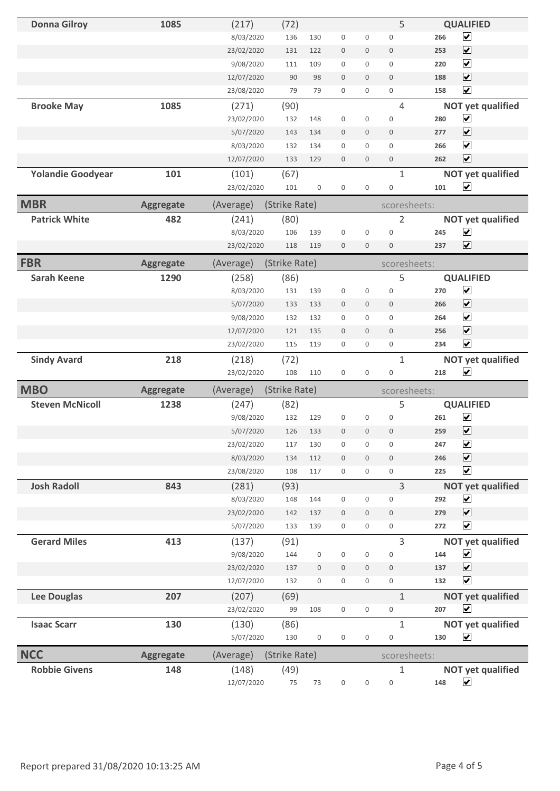| <b>Donna Gilroy</b>      | 1085             | (217)               | (72)          |                     |                     |                     | 5                          |     | <b>QUALIFIED</b>                                 |
|--------------------------|------------------|---------------------|---------------|---------------------|---------------------|---------------------|----------------------------|-----|--------------------------------------------------|
|                          |                  | 8/03/2020           | 136           | 130                 | $\mathsf{O}\xspace$ | 0                   | 0                          | 266 | $\blacktriangledown$                             |
|                          |                  | 23/02/2020          | 131           | 122                 | $\boldsymbol{0}$    | 0                   | $\mathsf{O}\xspace$        | 253 | $\blacktriangledown$                             |
|                          |                  | 9/08/2020           | 111           | 109                 | 0                   | 0                   | $\mathsf{O}\xspace$        | 220 | $\blacktriangledown$                             |
|                          |                  | 12/07/2020          | 90            | 98                  | $\mathbf 0$         | 0                   | $\mathbf 0$                | 188 | $\blacktriangledown$                             |
|                          |                  | 23/08/2020          | 79            | 79                  | 0                   | 0                   | 0                          | 158 | $\overline{\mathbf{v}}$                          |
| <b>Brooke May</b>        | 1085             | (271)               | (90)          |                     |                     |                     | $\overline{4}$             |     | <b>NOT yet qualified</b>                         |
|                          |                  | 23/02/2020          | 132           | 148                 | $\mathsf{O}\xspace$ | 0                   | $\mathbb O$                | 280 | $\blacktriangledown$                             |
|                          |                  | 5/07/2020           | 143           | 134                 | $\mathbf 0$         | $\mathbf 0$         | $\mathsf{O}\xspace$        | 277 | $\blacktriangledown$                             |
|                          |                  | 8/03/2020           | 132           | 134                 | $\boldsymbol{0}$    | 0                   | 0                          | 266 | $\blacktriangledown$                             |
|                          |                  | 12/07/2020          | 133           | 129                 | $\mathbf 0$         | $\mathbf 0$         | $\mathsf{O}\xspace$        | 262 | $\overline{\mathbf{v}}$                          |
| <b>Yolandie Goodyear</b> | 101              | (101)               | (67)          |                     |                     |                     | $\mathbf{1}$               |     | <b>NOT yet qualified</b>                         |
|                          |                  | 23/02/2020          | 101           | $\mathsf{O}\xspace$ | $\boldsymbol{0}$    | $\mathsf{O}\xspace$ | 0                          | 101 | $\blacktriangledown$                             |
| <b>MBR</b>               | <b>Aggregate</b> | (Average)           | (Strike Rate) |                     |                     |                     | scoresheets:               |     |                                                  |
| <b>Patrick White</b>     | 482              | (241)               | (80)          |                     |                     |                     | $\overline{2}$             |     | <b>NOT yet qualified</b>                         |
|                          |                  | 8/03/2020           | 106           | 139                 | $\boldsymbol{0}$    | 0                   | $\mathsf{O}\xspace$        | 245 | $\blacktriangledown$                             |
|                          |                  | 23/02/2020          | 118           | 119                 | $\mathsf{O}\xspace$ | $\mathbf 0$         | $\mathsf{O}\xspace$        | 237 | $\overline{\mathbf{v}}$                          |
| <b>FBR</b>               |                  |                     |               |                     |                     |                     |                            |     |                                                  |
|                          | <b>Aggregate</b> | (Average)           | (Strike Rate) |                     |                     |                     | scoresheets:               |     |                                                  |
| <b>Sarah Keene</b>       | 1290             | (258)               | (86)          | 139                 |                     |                     | 5                          | 270 | <b>QUALIFIED</b><br>$\blacktriangledown$         |
|                          |                  | 8/03/2020           | 131           |                     | $\mathsf{O}\xspace$ | 0                   | $\mathbf 0$                |     |                                                  |
|                          |                  | 5/07/2020           | 133           | 133                 | $\boldsymbol{0}$    | 0                   | $\mathbf 0$                | 266 | $\blacktriangledown$                             |
|                          |                  | 9/08/2020           | 132           | 132                 | $\mathsf{O}\xspace$ | 0                   | $\mathbf 0$                | 264 | $\blacktriangledown$                             |
|                          |                  | 12/07/2020          | 121           | 135                 | $\mathbf 0$         | 0                   | $\mathbf 0$                | 256 | $\blacktriangledown$                             |
|                          |                  | 23/02/2020          | 115           | 119                 | $\mathsf{O}\xspace$ | 0                   | $\mathsf{O}\xspace$        | 234 | $\blacktriangledown$                             |
|                          |                  |                     |               |                     |                     |                     |                            |     |                                                  |
| <b>Sindy Avard</b>       | 218              | (218)               | (72)          |                     |                     |                     | $\mathbf{1}$               |     | <b>NOT yet qualified</b>                         |
|                          |                  | 23/02/2020          | 108           | 110                 | $\mathsf{O}\xspace$ | $\mathsf{O}\xspace$ | 0                          | 218 | $\blacktriangledown$                             |
| <b>MBO</b>               | <b>Aggregate</b> | (Average)           | (Strike Rate) |                     |                     |                     | scoresheets:               |     |                                                  |
| <b>Steven McNicoll</b>   | 1238             | (247)               | (82)          |                     |                     |                     | 5                          |     | <b>QUALIFIED</b>                                 |
|                          |                  | 9/08/2020           | 132           | 129                 | 0                   | $\mathsf{O}\xspace$ | $\mathsf{O}\xspace$        | 261 | $\blacktriangledown$                             |
|                          |                  | 5/07/2020           | 126           | 133                 | $\mathbf 0$         | 0                   | $\mathbf 0$                | 259 | $\overline{\mathbf{v}}$                          |
|                          |                  | 23/02/2020          | 117           | 130                 | $\mathsf{O}\xspace$ | 0                   | 0                          | 247 | $\blacktriangledown$                             |
|                          |                  | 8/03/2020           | 134           | 112                 | $\mathsf{O}\xspace$ | $\mathbf 0$         | $\mathsf{O}\xspace$        | 246 | $\blacktriangledown$                             |
|                          |                  | 23/08/2020          | 108           | 117                 | $\mathsf 0$         | 0                   | 0                          | 225 | $\blacktriangledown$                             |
| <b>Josh Radoll</b>       | 843              | (281)               | (93)          |                     |                     |                     | 3                          |     | <b>NOT yet qualified</b>                         |
|                          |                  | 8/03/2020           | 148           | 144                 | $\mathsf{O}\xspace$ | 0                   | 0                          | 292 | $\blacktriangleright$                            |
|                          |                  | 23/02/2020          | 142           | 137                 | $\boldsymbol{0}$    | 0                   | $\mathbb O$                | 279 | $\blacktriangledown$                             |
|                          |                  | 5/07/2020           | 133           | 139                 | 0                   | 0                   | $\mathsf{O}\xspace$        | 272 | $\blacktriangledown$                             |
| <b>Gerard Miles</b>      | 413              | (137)               |               |                     |                     |                     | $\overline{3}$             |     |                                                  |
|                          |                  | 9/08/2020           | (91)<br>144   | $\mathsf{O}\xspace$ | $\mathsf{O}\xspace$ | 0                   | 0                          | 144 | <b>NOT yet qualified</b><br>$\blacktriangledown$ |
|                          |                  | 23/02/2020          | 137           | $\boldsymbol{0}$    | $\mathsf{O}\xspace$ | $\mathbf 0$         | $\mathsf{O}\xspace$        | 137 | $\blacktriangledown$                             |
|                          |                  | 12/07/2020          | 132           | $\mathsf{O}\xspace$ | $\mathsf 0$         | 0                   | 0                          | 132 | $\blacktriangledown$                             |
|                          | 207              |                     |               |                     |                     |                     | $\mathbf{1}$               |     |                                                  |
| <b>Lee Douglas</b>       |                  | (207)<br>23/02/2020 | (69)<br>99    | 108                 | $\mathsf{O}\xspace$ | 0                   | 0                          | 207 | <b>NOT yet qualified</b><br>$\blacktriangledown$ |
|                          |                  |                     |               |                     |                     |                     |                            |     |                                                  |
| <b>Isaac Scarr</b>       | 130              | (130)<br>5/07/2020  | (86)<br>130   | $\mathsf{O}\xspace$ | $\mathsf{O}\xspace$ | $\mathsf{O}\xspace$ | $\mathbf{1}$<br>0          | 130 | <b>NOT yet qualified</b><br>$\blacktriangledown$ |
|                          |                  |                     |               |                     |                     |                     |                            |     |                                                  |
| <b>NCC</b>               | <b>Aggregate</b> | (Average)           | (Strike Rate) |                     |                     |                     | scoresheets:               |     |                                                  |
| <b>Robbie Givens</b>     | 148              | (148)<br>12/07/2020 | (49)<br>75    | 73                  | 0                   | $\mathsf{O}\xspace$ | $\mathbf 1$<br>$\mathbf 0$ | 148 | <b>NOT yet qualified</b><br>$\blacktriangledown$ |